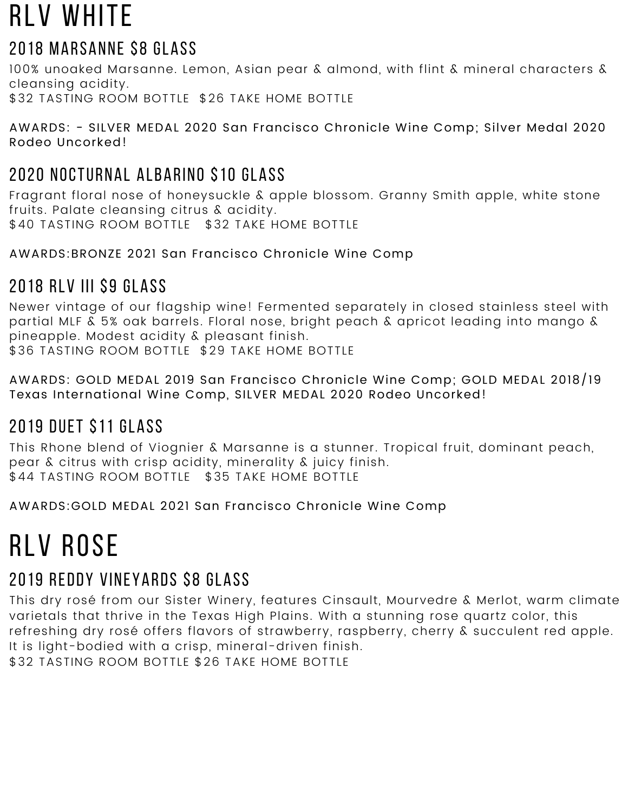## RLV WHITE

### 2018 Marsanne \$8 GLASS

100% unoaked Marsanne. Lemon, Asian pear & almond, with flint & mineral characters & cleansing acidity. \$32 TASTING ROOM BOTTLE \$26 TAKE HOME BOTTLE

AWARDS: - SILVER MEDAL 2020 San Francisco Chronicle Wine Comp; Silver Medal 2020 Rodeo Uncorked!

## 2020 Nocturnal albarino \$10 GLASS

Fragrant floral nose of honeysuckle & apple blossom. Granny Smith apple, white stone fruits. Palate cleansing citrus & acidity. \$40 TASTING ROOM BOTTLE \$32 TAKE HOME BOTTLE

AWARDS:BRONZE 2021 San Francisco Chronicle Wine Comp

### 2018 RLV III \$9 GLASS

Newer vintage of our flagship wine! Fermented separately in closed stainless steel with partial MLF & 5% oak barrels. Floral nose, bright peach & apricot leading into mango & pineapple. Modest acidity & pleasant finish. \$36 TASTING ROOM BOTTLE \$29 TAKE HOME BOTTLE

AWARDS: GOLD MEDAL 2019 San Francisco Chronicle Wine Comp; GOLD MEDAL 2018/19 Texas International Wine Comp, SILVER MEDAL 2020 Rodeo Uncorked!

## 2019 Duet \$11 GLASS

This Rhone blend of Viognier & Marsanne is a stunner. Tropical fruit, dominant peach, pear & citrus with crisp acidity, minerality & juicy finish. \$44 TASTING ROOM BOTTLE \$35 TAKE HOME BOTTLE

AWARDS:GOLD MEDAL 2021 San Francisco Chronicle Wine Comp

## **RLV ROSE**

### 2019 Reddy Vineyards \$8 GLASS

This dry rosé from our Sister Winery, features Cinsault, Mourvedre & Merlot, warm climate varietals that thrive in the Texas High Plains. With a stunning rose quartz color, this refreshing dry rosé offers flavors of strawberry, raspberry, cherry & succulent red apple. It is light-bodied with a crisp, mineral-driven finish.

\$32 TASTING ROOM BOTTLE \$26 TAKE HOME BOTTLE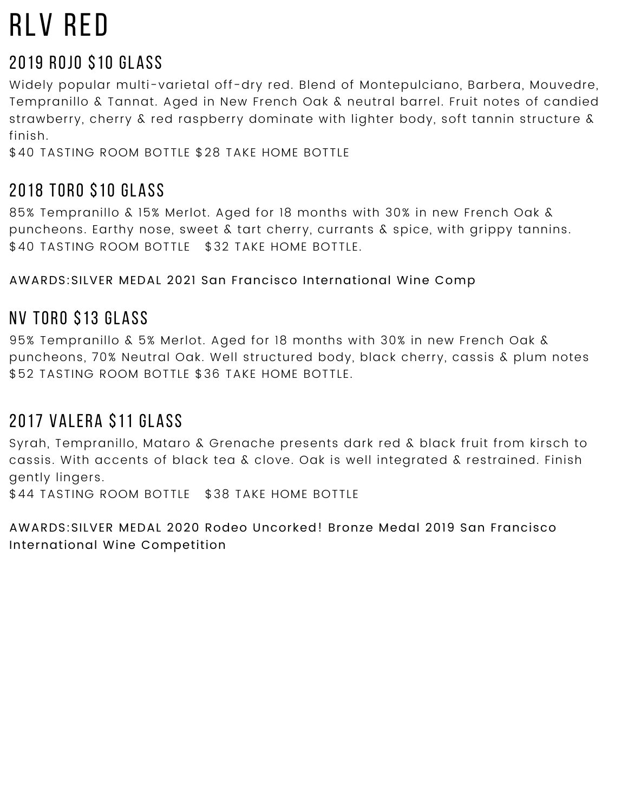## rlv red

### 2019 rojo \$10 GLASS

Widely popular multi-varietal off-dry red. Blend of Montepulciano, Barbera, Mouvedre, Tempranillo & Tannat. Aged in New French Oak & neutral barrel. Fruit notes of candied strawberry, cherry & red raspberry dominate with lighter body, soft tannin structure & finish.

\$40 TASTING ROOM BOTTLE \$28 TAKE HOME BOTTLE

## 2018 TORO \$10 GLASS

85% Tempranillo & 15% Merlot. Aged for 18 months with 30% in new French Oak & puncheons. Earthy nose, sweet & tart cherry, currants & spice, with grippy tannins. \$40 TASTING ROOM BOTTLE \$32 TAKE HOME BOTTLE.

AWARDS:SILVER MEDAL 2021 San Francisco International Wine Comp

## NV toro \$13 GLASS

95% Tempranillo & 5% Merlot. Aged for 18 months with 30% in new French Oak & puncheons, 70% Neutral Oak. Well structured body, black cherry, cassis & plum notes \$52 TASTING ROOM BOTTLE \$36 TAKE HOME BOTTLE.

## 2017 Valera \$11 GLASS

Syrah, Tempranillo, Mataro & Grenache presents dark red & black fruit from kirsch to cassis. With accents of black tea & clove. Oak is well integrated & restrained. Finish gently lingers.

\$44 TASTING ROOM BOTTLE \$38 TAKE HOME BOTTLE

AWARDS:SILVER MEDAL 2020 Rodeo Uncorked! Bronze Medal 2019 San Francisco International Wine Competition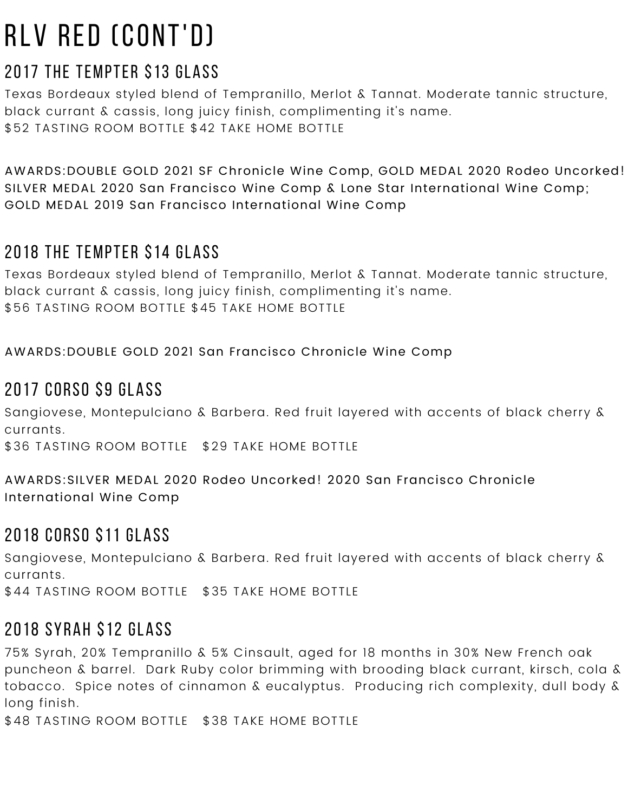## rlv red (CONT'D)

### 2017 the tempter \$13 GLASS

Texas Bordeaux styled blend of Tempranillo, Merlot & Tannat. Moderate tannic structure, black currant & cassis, long juicy finish, complimenting it's name. \$52 TASTING ROOM BOTTLE \$42 TAKE HOME BOTTLE

AWARDS:DOUBLE GOLD 2021 SF Chronicle Wine Comp, GOLD MEDAL 2020 Rodeo Uncorked! SILVER MEDAL 2020 San Francisco Wine Comp & Lone Star International Wine Comp; GOLD MEDAL 2019 San Francisco International Wine Comp

#### 2018 the tempter \$14 GLASS

Texas Bordeaux styled blend of Tempranillo, Merlot & Tannat. Moderate tannic structure, black currant & cassis, long juicy finish, complimenting it's name. \$56 TASTING ROOM BOTTLE \$45 TAKE HOME BOTTLE

AWARDS:DOUBLE GOLD 2021 San Francisco Chronicle Wine Comp

#### 2017 CORSO \$9 GLASS

Sangiovese, Montepulciano & Barbera. Red fruit layered with accents of black cherry & currants.

\$36 TASTING ROOM BOTTLE \$29 TAKE HOME BOTTLE

AWARDS:SILVER MEDAL 2020 Rodeo Uncorked! 2020 San Francisco Chronicle International Wine Comp

#### 2018 CORSO \$11 GLASS

Sangiovese, Montepulciano & Barbera. Red fruit layered with accents of black cherry & currants.

\$44 TASTING ROOM BOTTLE \$35 TAKE HOME BOTTLE

#### 2018 syrah \$12 GLASS

75% Syrah, 20% Tempranillo & 5% Cinsault, aged for 18 months in 30% New French oak puncheon & barrel. Dark Ruby color brimming with brooding black currant, kirsch, cola & tobacco. Spice notes of cinnamon & eucalyptus. Producing rich complexity, dull body & long finish.

\$48 TASTING ROOM BOTTLE \$38 TAKE HOME BOTTLE